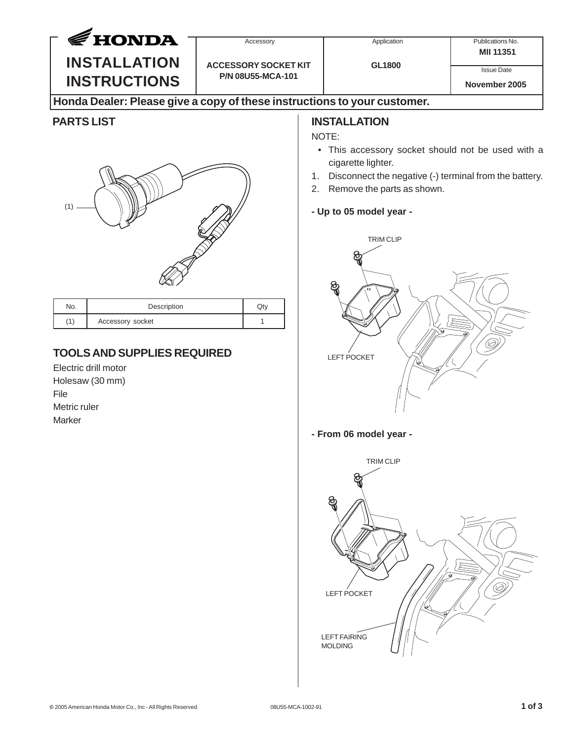| <b>∉HONDA</b>                                                                                                                                                    | Accessory                                        | Application                                                                                                                                                                                                                                           | Publications No.<br>MII 11351      |
|------------------------------------------------------------------------------------------------------------------------------------------------------------------|--------------------------------------------------|-------------------------------------------------------------------------------------------------------------------------------------------------------------------------------------------------------------------------------------------------------|------------------------------------|
| <b>INSTALLATION</b><br><b>INSTRUCTIONS</b>                                                                                                                       | <b>ACCESSORY SOCKET KIT</b><br>P/N 08U55-MCA-101 | <b>GL1800</b>                                                                                                                                                                                                                                         | <b>Issue Date</b><br>November 2005 |
| Honda Dealer: Please give a copy of these instructions to your customer.                                                                                         |                                                  |                                                                                                                                                                                                                                                       |                                    |
| <b>PARTS LIST</b><br>(1)                                                                                                                                         | 1.<br>2.                                         | <b>INSTALLATION</b><br>NOTE:<br>• This accessory socket should not be used with a<br>cigarette lighter.<br>Disconnect the negative (-) terminal from the battery.<br>Remove the parts as shown.<br>- Up to 05 model year -<br><b>TRIM CLIP</b><br>ବ୍ଲ |                                    |
| No.<br>Description<br>(1)<br>Accessory socket<br><b>TOOLS AND SUPPLIES REQUIRED</b><br>Electric drill motor<br>Holesaw (30 mm)<br>File<br>Metric ruler<br>Marker | Qty<br>$\mathbf{1}$                              | <b>LEFT POCKET</b><br>Ğ<br>- From 06 model year -<br><b>TRIM CLIP</b>                                                                                                                                                                                 |                                    |

LEFT POCKET

LEFT FAIRING MOLDING

 $\sqrt{\varepsilon}$ ತ

Ċ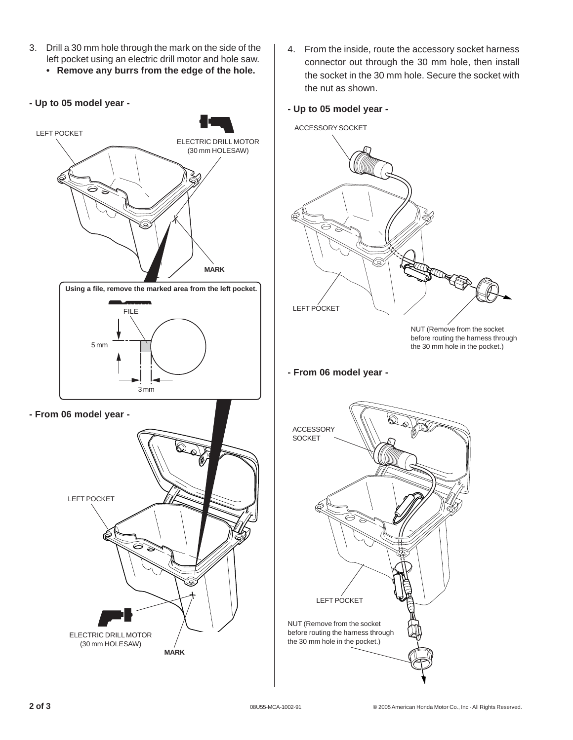- 3. Drill a 30 mm hole through the mark on the side of the left pocket using an electric drill motor and hole saw.
	- **Remove any burrs from the edge of the hole.**
- **Up to 05 model year -**



- 4. From the inside, route the accessory socket harness connector out through the 30 mm hole, then install the socket in the 30 mm hole. Secure the socket with the nut as shown.
- **Up to 05 model year -**